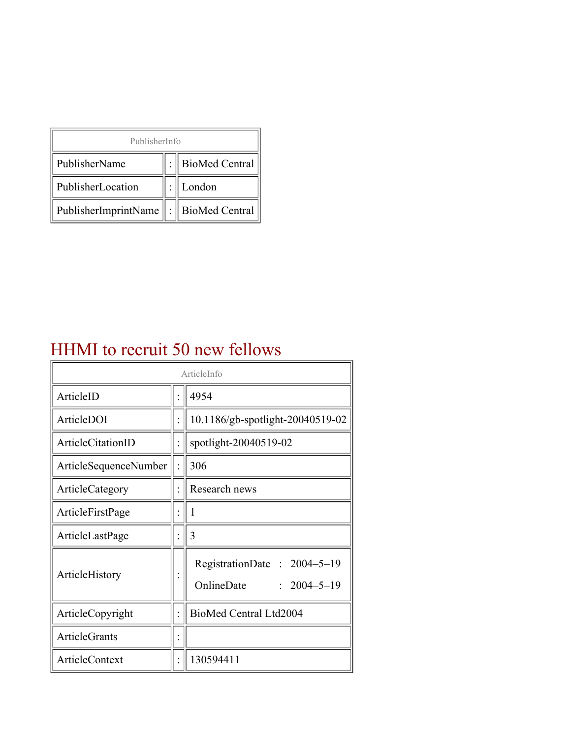| PublisherInfo                                   |  |                    |  |  |
|-------------------------------------------------|--|--------------------|--|--|
| PublisherName                                   |  | :   BioMed Central |  |  |
| PublisherLocation                               |  | London             |  |  |
| PublisherImprintName $\ \cdot\ $ BioMed Central |  |                    |  |  |

## HHMI to recruit 50 new fellows

| ArticleInfo           |  |                                                                |
|-----------------------|--|----------------------------------------------------------------|
| ArticleID             |  | 4954                                                           |
| ArticleDOI            |  | 10.1186/gb-spotlight-20040519-02                               |
| ArticleCitationID     |  | spotlight-20040519-02                                          |
| ArticleSequenceNumber |  | 306                                                            |
| ArticleCategory       |  | Research news                                                  |
| ArticleFirstPage      |  |                                                                |
| ArticleLastPage       |  | 3                                                              |
| ArticleHistory        |  | RegistrationDate: 2004-5-19<br>OnlineDate<br>$: 2004 - 5 - 19$ |
| ArticleCopyright      |  | BioMed Central Ltd2004                                         |
| <b>ArticleGrants</b>  |  |                                                                |
| ArticleContext        |  | 130594411                                                      |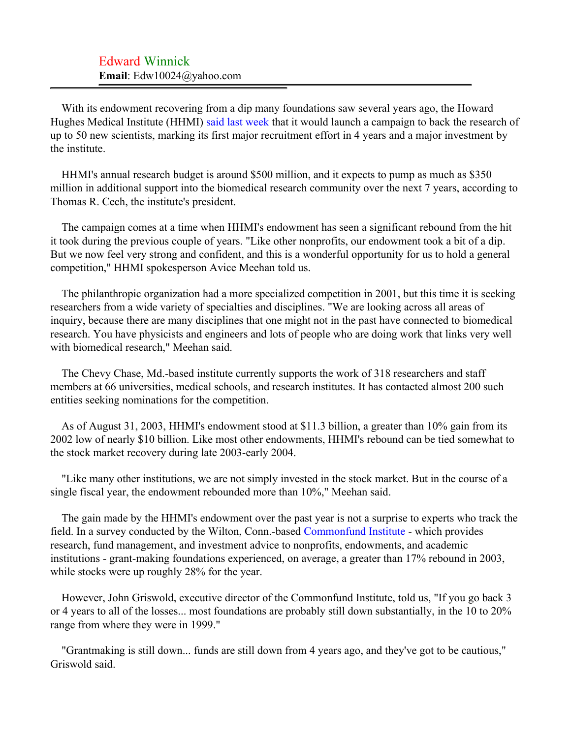## Edward Winnick **Email**: Edw10024@yahoo.com

With its endowment recovering from a dip many foundations saw several years ago, the Howard Hughes Medical Institute (HHMI) [said last week](#page-2-0) that it would launch a campaign to back the research of up to 50 new scientists, marking its first major recruitment effort in 4 years and a major investment by the institute.

HHMI's annual research budget is around \$500 million, and it expects to pump as much as \$350 million in additional support into the biomedical research community over the next 7 years, according to Thomas R. Cech, the institute's president.

The campaign comes at a time when HHMI's endowment has seen a significant rebound from the hit it took during the previous couple of years. "Like other nonprofits, our endowment took a bit of a dip. But we now feel very strong and confident, and this is a wonderful opportunity for us to hold a general competition," HHMI spokesperson Avice Meehan told us.

The philanthropic organization had a more specialized competition in 2001, but this time it is seeking researchers from a wide variety of specialties and disciplines. "We are looking across all areas of inquiry, because there are many disciplines that one might not in the past have connected to biomedical research. You have physicists and engineers and lots of people who are doing work that links very well with biomedical research," Meehan said.

The Chevy Chase, Md.-based institute currently supports the work of 318 researchers and staff members at 66 universities, medical schools, and research institutes. It has contacted almost 200 such entities seeking nominations for the competition.

As of August 31, 2003, HHMI's endowment stood at \$11.3 billion, a greater than 10% gain from its 2002 low of nearly \$10 billion. Like most other endowments, HHMI's rebound can be tied somewhat to the stock market recovery during late 2003-early 2004.

"Like many other institutions, we are not simply invested in the stock market. But in the course of a single fiscal year, the endowment rebounded more than 10%," Meehan said.

The gain made by the HHMI's endowment over the past year is not a surprise to experts who track the field. In a survey conducted by the Wilton, Conn.-based [Commonfund Institute](#page-2-1) - which provides research, fund management, and investment advice to nonprofits, endowments, and academic institutions - grant-making foundations experienced, on average, a greater than 17% rebound in 2003, while stocks were up roughly 28% for the year.

However, John Griswold, executive director of the Commonfund Institute, told us, "If you go back 3 or 4 years to all of the losses... most foundations are probably still down substantially, in the 10 to 20% range from where they were in 1999."

"Grantmaking is still down... funds are still down from 4 years ago, and they've got to be cautious," Griswold said.